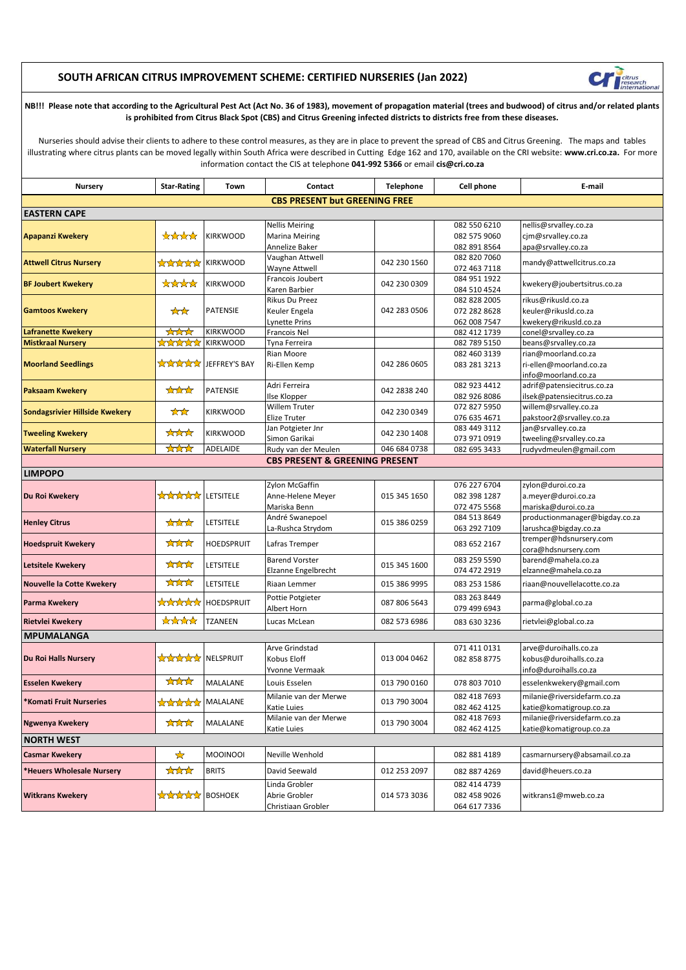## **SOUTH AFRICAN CITRUS IMPROVEMENT SCHEME: CERTIFIED NURSERIES (Jan 2022)**



**NB!!! Please note that according to the Agricultural Pest Act (Act No. 36 of 1983), movement of propagation material (trees and budwood) of citrus and/or related plants is prohibited from Citrus Black Spot (CBS) and Citrus Greening infected districts to districts free from these diseases.**

Nurseries should advise their clients to adhere to these control measures, as they are in place to prevent the spread of CBS and Citrus Greening. The maps and tables illustrating where citrus plants can be moved legally within South Africa were described in Cutting Edge 162 and 170, available on the CRI website: **www.cri.co.za.** For more information contact the CIS at telephone **041-992 5366** or email **cis@cri.co.za**

| <b>Nursery</b>                                    | <b>Star-Rating</b>                    | Town            | Contact                                   | Telephone                    | Cell phone                   | E-mail                                                  |  |  |  |
|---------------------------------------------------|---------------------------------------|-----------------|-------------------------------------------|------------------------------|------------------------------|---------------------------------------------------------|--|--|--|
|                                                   |                                       |                 | <b>CBS PRESENT but GREENING FREE</b>      |                              |                              |                                                         |  |  |  |
| <b>EASTERN CAPE</b>                               |                                       |                 |                                           |                              |                              |                                                         |  |  |  |
|                                                   |                                       |                 | <b>Nellis Meiring</b>                     |                              | 082 550 6210                 | nellis@srvalley.co.za                                   |  |  |  |
| <b>Apapanzi Kwekery</b>                           | <b>Andra</b>                          | <b>KIRKWOOD</b> | <b>Marina Meiring</b>                     |                              | 082 575 9060                 | cim@srvalley.co.za                                      |  |  |  |
|                                                   |                                       |                 | Annelize Baker                            |                              | 082 891 8564                 | apa@srvalley.co.za                                      |  |  |  |
| <b>Attwell Citrus Nursery</b>                     | $\pi$                                 | <b>KIRKWOOD</b> | Vaughan Attwell                           | 042 230 1560                 | 082 820 7060                 | mandy@attwellcitrus.co.za                               |  |  |  |
|                                                   |                                       |                 | Wayne Attwell                             |                              | 072 463 7118                 |                                                         |  |  |  |
| <b>BF Joubert Kwekery</b>                         | thenth                                | <b>KIRKWOOD</b> | Francois Joubert                          | 042 230 0309                 | 084 951 1922                 | kwekery@joubertsitrus.co.za                             |  |  |  |
|                                                   |                                       |                 | Karen Barbier                             |                              | 084 510 4524                 |                                                         |  |  |  |
| <b>Gamtoos Kwekery</b>                            | XX                                    | PATENSIE        | Rikus Du Preez                            | 042 283 0506                 | 082 828 2005                 | rikus@rikusld.co.za                                     |  |  |  |
|                                                   |                                       |                 | Keuler Engela                             |                              | 072 282 8628                 | keuler@rikusld.co.za                                    |  |  |  |
| <b>Lafranette Kwekery</b>                         | $\bigstar$                            | <b>KIRKWOOD</b> | <b>Lynette Prins</b><br>Francois Nel      |                              | 062 008 7547<br>082 412 1739 | kwekery@rikusld.co.za<br>conel@srvalley.co.za           |  |  |  |
| <b>Mistkraal Nursery</b>                          | *****                                 | <b>KIRKWOOD</b> | Tyna Ferreira                             |                              | 082 789 5150                 | beans@srvalley.co.za                                    |  |  |  |
|                                                   | ******                                | JEFFREY'S BAY   | Rian Moore                                | 042 286 0605                 | 082 460 3139                 | rian@moorland.co.za                                     |  |  |  |
| <b>Moorland Seedlings</b>                         |                                       |                 | Ri-Ellen Kemp                             |                              | 083 281 3213                 | ri-ellen@moorland.co.za                                 |  |  |  |
|                                                   |                                       |                 |                                           |                              |                              | info@moorland.co.za                                     |  |  |  |
|                                                   |                                       |                 | Adri Ferreira                             |                              | 082 923 4412                 | adrif@patensiecitrus.co.za                              |  |  |  |
| <b>Paksaam Kwekery</b>                            | $\bigstar$                            | <b>PATENSIE</b> | Ilse Klopper                              | 042 2838 240                 | 082 926 8086                 | ilsek@patensiecitrus.co.za                              |  |  |  |
| <b>Sondagsrivier Hillside Kwekery</b>             | $\star$                               | <b>KIRKWOOD</b> | Willem Truter                             | 042 230 0349                 | 072 827 5950                 | willem@srvalley.co.za                                   |  |  |  |
|                                                   |                                       |                 | Elize Truter                              |                              | 076 635 4671                 | pakstoor2@srvalley.co.za                                |  |  |  |
| <b>Tweeling Kwekery</b>                           | ***                                   | <b>KIRKWOOD</b> | Jan Potgieter Jnr                         | 042 230 1408                 | 083 449 3112                 | jan@srvalley.co.za                                      |  |  |  |
|                                                   |                                       |                 | Simon Garikai                             |                              | 073 971 0919                 | tweeling@srvalley.co.za                                 |  |  |  |
| <b>Waterfall Nursery</b>                          | <b>AMA</b>                            | ADELAIDE        | Rudy van der Meulen                       | 046 684 0738                 | 082 695 3433                 | rudyvdmeulen@gmail.com                                  |  |  |  |
|                                                   |                                       |                 | <b>CBS PRESENT &amp; GREENING PRESENT</b> |                              |                              |                                                         |  |  |  |
| <b>LIMPOPO</b>                                    |                                       |                 |                                           |                              |                              |                                                         |  |  |  |
|                                                   |                                       | LETSITELE       | Zylon McGaffin                            | 015 345 1650                 | 076 227 6704                 | zylon@duroi.co.za                                       |  |  |  |
| Du Roi Kwekery                                    | $\sqrt{2}$                            |                 | Anne-Helene Meyer                         |                              | 082 398 1287                 | a.meyer@duroi.co.za                                     |  |  |  |
|                                                   |                                       |                 | Mariska Benn<br>André Swanepoel           |                              | 072 475 5568<br>084 513 8649 | mariska@duroi.co.za                                     |  |  |  |
| <b>Henley Citrus</b>                              | $\bigstar$                            | LETSITELE       | La-Rushca Strydom                         | 015 386 0259                 | 063 292 7109                 | productionmanager@bigday.co.za<br>larushca@bigday.co.za |  |  |  |
|                                                   |                                       |                 |                                           |                              |                              | tremper@hdsnursery.com                                  |  |  |  |
| <b>Hoedspruit Kwekery</b>                         | $\bigstar$                            | HOEDSPRUIT      | Lafras Tremper                            |                              | 083 652 2167                 | cora@hdsnursery.com                                     |  |  |  |
|                                                   | ***                                   |                 | <b>Barend Vorster</b>                     |                              | 083 259 5590                 | barend@mahela.co.za                                     |  |  |  |
| <b>Letsitele Kwekery</b>                          |                                       | LETSITELE       | Elzanne Engelbrecht                       | 015 345 1600                 | 074 472 2919                 | elzanne@mahela.co.za                                    |  |  |  |
| <b>Nouvelle la Cotte Kwekery</b>                  | ***                                   | LETSITELE       | Riaan Lemmer                              | 015 386 9995                 | 083 253 1586                 | riaan@nouvellelacotte.co.za                             |  |  |  |
| <b>Parma Kwekery</b>                              | <b>Andrand</b>                        | HOEDSPRUIT      | Pottie Potgieter                          | 087 806 5643                 | 083 263 8449                 | parma@global.co.za                                      |  |  |  |
|                                                   |                                       |                 | Albert Horn                               |                              | 079 499 6943                 |                                                         |  |  |  |
| Rietvlei Kwekery                                  | $\star\star\star\star$                | TZANEEN         | Lucas McLean                              | 082 573 6986                 | 083 630 3236                 | rietvlei@global.co.za                                   |  |  |  |
| <b>MPUMALANGA</b>                                 |                                       |                 |                                           |                              |                              |                                                         |  |  |  |
|                                                   |                                       |                 | Arve Grindstad                            |                              | 071 411 0131                 | arve@duroihalls.co.za                                   |  |  |  |
| Du Roi Halls Nursery                              | <b>ANNAN</b>                          | NELSPRUIT       | Kobus Eloff                               | 013 004 0462                 | 082 858 8775                 | kobus@duroihalls.co.za                                  |  |  |  |
|                                                   |                                       |                 | Yvonne Vermaak                            |                              |                              | info@duroihalls.co.za                                   |  |  |  |
| <b>Esselen Kwekery</b>                            | ***                                   | MALALANE        | Louis Esselen                             | 013 790 0160                 | 078 803 7010                 | esselenkwekery@gmail.com                                |  |  |  |
| *Komati Fruit Nurseries<br><b>Ngwenya Kwekery</b> | <b>ARARAY MALALANE</b><br><b>Andr</b> | MALALANE        | Milanie van der Merwe                     | 013 790 3004<br>013 790 3004 | 082 418 7693                 | milanie@riversidefarm.co.za                             |  |  |  |
|                                                   |                                       |                 | Katie Luies                               |                              | 082 462 4125                 | katie@komatigroup.co.za                                 |  |  |  |
|                                                   |                                       |                 | Milanie van der Merwe                     |                              | 082 418 7693                 | milanie@riversidefarm.co.za                             |  |  |  |
|                                                   |                                       |                 | Katie Luies                               |                              | 082 462 4125                 | katie@komatigroup.co.za                                 |  |  |  |
| <b>NORTH WEST</b>                                 |                                       |                 |                                           |                              |                              |                                                         |  |  |  |
| <b>Casmar Kwekery</b>                             | ☆                                     | <b>MOOINOOI</b> | Neville Wenhold                           |                              | 082 881 4189                 | casmarnursery@absamail.co.za                            |  |  |  |
| *Heuers Wholesale Nursery                         | ਲੇਲੇਲੇ                                | <b>BRITS</b>    | David Seewald                             | 012 253 2097                 | 082 887 4269                 | david@heuers.co.za                                      |  |  |  |
| <b>Witkrans Kwekery</b>                           | <b>Annan</b>                          | <b>BOSHOEK</b>  | Linda Grobler                             |                              | 082 414 4739                 | witkrans1@mweb.co.za                                    |  |  |  |
|                                                   |                                       |                 | Abrie Grobler                             | 014 573 3036                 | 082 458 9026                 |                                                         |  |  |  |
|                                                   |                                       |                 | Christiaan Grobler                        |                              | 064 617 7336                 |                                                         |  |  |  |